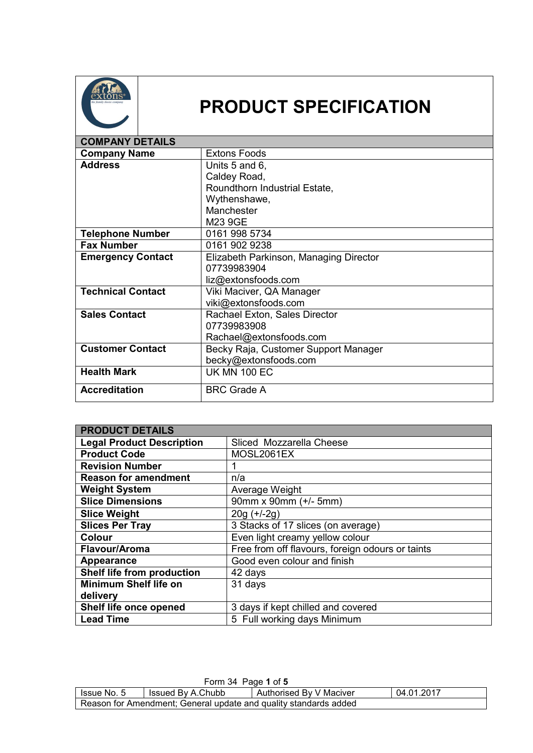

## **PRODUCT SPECIFICATION**

| <b>COMPANY DETAILS</b>   |                                        |
|--------------------------|----------------------------------------|
| <b>Company Name</b>      | <b>Extons Foods</b>                    |
| <b>Address</b>           | Units 5 and 6,                         |
|                          | Caldey Road,                           |
|                          | Roundthorn Industrial Estate,          |
|                          | Wythenshawe,                           |
|                          | Manchester                             |
|                          | M23 9GE                                |
| <b>Telephone Number</b>  | 0161 998 5734                          |
| <b>Fax Number</b>        | 0161 902 9238                          |
| <b>Emergency Contact</b> | Elizabeth Parkinson, Managing Director |
|                          | 07739983904                            |
|                          | liz@extonsfoods.com                    |
| <b>Technical Contact</b> | Viki Maciver, QA Manager               |
|                          | viki@extonsfoods.com                   |
| <b>Sales Contact</b>     | Rachael Exton, Sales Director          |
|                          | 07739983908                            |
|                          | Rachael@extonsfoods.com                |
| <b>Customer Contact</b>  | Becky Raja, Customer Support Manager   |
|                          | becky@extonsfoods.com                  |
| <b>Health Mark</b>       | <b>UK MN 100 EC</b>                    |
| <b>Accreditation</b>     | <b>BRC Grade A</b>                     |

| <b>PRODUCT DETAILS</b>           |                                                  |
|----------------------------------|--------------------------------------------------|
| <b>Legal Product Description</b> | Sliced Mozzarella Cheese                         |
| <b>Product Code</b>              | MOSL2061EX                                       |
| <b>Revision Number</b>           |                                                  |
| <b>Reason for amendment</b>      | n/a                                              |
| <b>Weight System</b>             | Average Weight                                   |
| <b>Slice Dimensions</b>          | 90mm x 90mm (+/- 5mm)                            |
| <b>Slice Weight</b>              | $20g (+/-2g)$                                    |
| <b>Slices Per Tray</b>           | 3 Stacks of 17 slices (on average)               |
| <b>Colour</b>                    | Even light creamy yellow colour                  |
| Flavour/Aroma                    | Free from off flavours, foreign odours or taints |
| Appearance                       | Good even colour and finish                      |
| Shelf life from production       | 42 days                                          |
| <b>Minimum Shelf life on</b>     | 31 days                                          |
| delivery                         |                                                  |
| Shelf life once opened           | 3 days if kept chilled and covered               |
| <b>Lead Time</b>                 | 5 Full working days Minimum                      |

| Form 34 Page 1 of 5                                              |                   |                         |            |
|------------------------------------------------------------------|-------------------|-------------------------|------------|
| Issue No. 5                                                      | Issued By A.Chubb | Authorised By V Maciver | 04.01.2017 |
| Reason for Amendment; General update and quality standards added |                   |                         |            |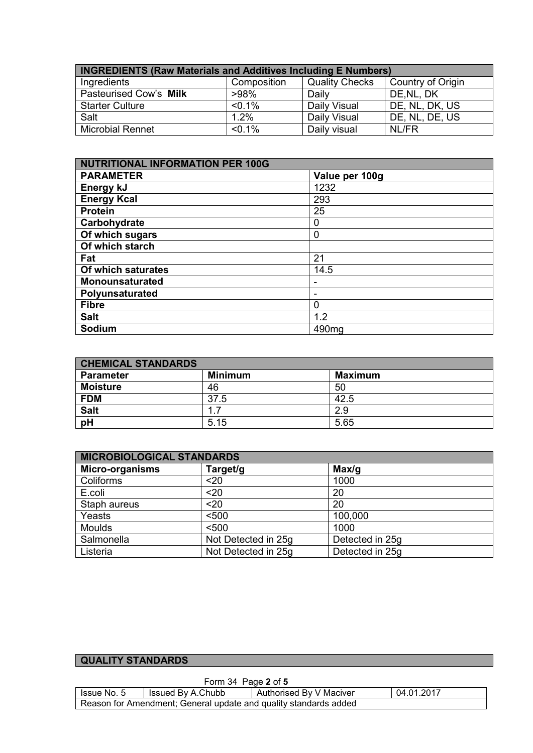| <b>INGREDIENTS (Raw Materials and Additives Including E Numbers)</b> |             |                       |                   |
|----------------------------------------------------------------------|-------------|-----------------------|-------------------|
| Ingredients                                                          | Composition | <b>Quality Checks</b> | Country of Origin |
| Pasteurised Cow's Milk                                               | >98%        | Daily                 | DE, NL, DK        |
| <b>Starter Culture</b>                                               | $< 0.1\%$   | Daily Visual          | DE, NL, DK, US    |
| Salt                                                                 | 1.2%        | Daily Visual          | DE, NL, DE, US    |
| <b>Microbial Rennet</b>                                              | $< 0.1\%$   | Daily visual          | NL/FR             |

| NUTRITIONAL INFORMATION PER 100G |                   |  |
|----------------------------------|-------------------|--|
| <b>PARAMETER</b>                 | Value per 100g    |  |
| Energy kJ                        | 1232              |  |
| <b>Energy Kcal</b>               | 293               |  |
| <b>Protein</b>                   | 25                |  |
| Carbohydrate                     | 0                 |  |
| Of which sugars                  | 0                 |  |
| Of which starch                  |                   |  |
| Fat                              | 21                |  |
| Of which saturates               | 14.5              |  |
| <b>Monounsaturated</b>           |                   |  |
| Polyunsaturated                  |                   |  |
| <b>Fibre</b>                     | 0                 |  |
| <b>Salt</b>                      | 1.2               |  |
| Sodium                           | 490 <sub>mg</sub> |  |

| <b>CHEMICAL STANDARDS</b> |                |                |
|---------------------------|----------------|----------------|
| <b>Parameter</b>          | <b>Minimum</b> | <b>Maximum</b> |
| <b>Moisture</b>           | 46             | 50             |
| <b>FDM</b>                | 37.5           | 42.5           |
| <b>Salt</b>               |                | 2.9            |
| pH                        | 5.15           | 5.65           |

| <b>MICROBIOLOGICAL STANDARDS</b> |                     |                 |
|----------------------------------|---------------------|-----------------|
| <b>Micro-organisms</b>           | Target/g            | Max/g           |
| Coliforms                        | <20                 | 1000            |
| E.coli                           | $20$                | 20              |
| Staph aureus                     | $20$                | 20              |
| Yeasts                           | < 500               | 100,000         |
| <b>Moulds</b>                    | < 500               | 1000            |
| Salmonella                       | Not Detected in 25g | Detected in 25g |
| Listeria                         | Not Detected in 25g | Detected in 25g |

## **QUALITY STANDARDS**

| Form 34 Page 2 of 5                                              |                   |                         |            |
|------------------------------------------------------------------|-------------------|-------------------------|------------|
| Issue No. 5                                                      | Issued By A.Chubb | Authorised By V Maciver | 04.01.2017 |
| Reason for Amendment: General update and quality standards added |                   |                         |            |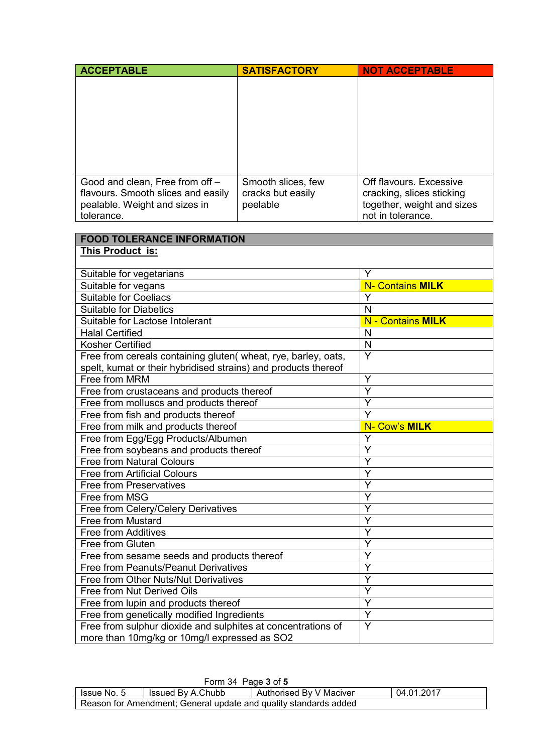| <b>ACCEPTABLE</b>                                                                                                    | <b>SATISFACTORY</b>                                 | <b>NOT ACCEPTABLE</b>                                                                                   |
|----------------------------------------------------------------------------------------------------------------------|-----------------------------------------------------|---------------------------------------------------------------------------------------------------------|
|                                                                                                                      |                                                     |                                                                                                         |
| Good and clean, Free from off -<br>flavours. Smooth slices and easily<br>pealable. Weight and sizes in<br>tolerance. | Smooth slices, few<br>cracks but easily<br>peelable | Off flavours. Excessive<br>cracking, slices sticking<br>together, weight and sizes<br>not in tolerance. |

| <b>FOOD TOLERANCE INFORMATION</b>                              |                          |  |
|----------------------------------------------------------------|--------------------------|--|
| This Product is:                                               |                          |  |
|                                                                |                          |  |
| Suitable for vegetarians                                       | Y                        |  |
| Suitable for vegans                                            | <b>N- Contains MILK</b>  |  |
| <b>Suitable for Coeliacs</b>                                   | Y                        |  |
| <b>Suitable for Diabetics</b>                                  | N                        |  |
| Suitable for Lactose Intolerant                                | <b>N</b> - Contains MILK |  |
| <b>Halal Certified</b>                                         | N                        |  |
| <b>Kosher Certified</b>                                        | ${\sf N}$                |  |
| Free from cereals containing gluten( wheat, rye, barley, oats, | $\overline{Y}$           |  |
| spelt, kumat or their hybridised strains) and products thereof |                          |  |
| Free from MRM                                                  | Y                        |  |
| Free from crustaceans and products thereof                     | Ý                        |  |
| Free from molluscs and products thereof                        | $\overline{\mathsf{Y}}$  |  |
| Free from fish and products thereof                            | Ý                        |  |
| Free from milk and products thereof                            | N- Cow's MILK            |  |
| Free from Egg/Egg Products/Albumen                             | Y                        |  |
| Free from soybeans and products thereof                        | Y                        |  |
| <b>Free from Natural Colours</b>                               | Y                        |  |
| <b>Free from Artificial Colours</b>                            | Ý                        |  |
| <b>Free from Preservatives</b>                                 | Y                        |  |
| Free from MSG                                                  | Y                        |  |
| Free from Celery/Celery Derivatives                            | Y                        |  |
| Free from Mustard                                              | Ý                        |  |
| <b>Free from Additives</b>                                     | Ý                        |  |
| <b>Free from Gluten</b>                                        | Ÿ                        |  |
| Free from sesame seeds and products thereof                    | Ý                        |  |
| Free from Peanuts/Peanut Derivatives                           | Y                        |  |
| Free from Other Nuts/Nut Derivatives                           | Ý                        |  |
| Free from Nut Derived Oils                                     | Y                        |  |
| Free from lupin and products thereof                           | Y                        |  |
| Free from genetically modified Ingredients                     | Y                        |  |
| Free from sulphur dioxide and sulphites at concentrations of   | $\overline{Y}$           |  |
| more than 10mg/kg or 10mg/l expressed as SO2                   |                          |  |

| Form 34 Page 3 of 5                                              |                   |                         |            |
|------------------------------------------------------------------|-------------------|-------------------------|------------|
| Issue No. 5                                                      | Issued By A.Chubb | Authorised By V Maciver | 04.01.2017 |
| Reason for Amendment; General update and quality standards added |                   |                         |            |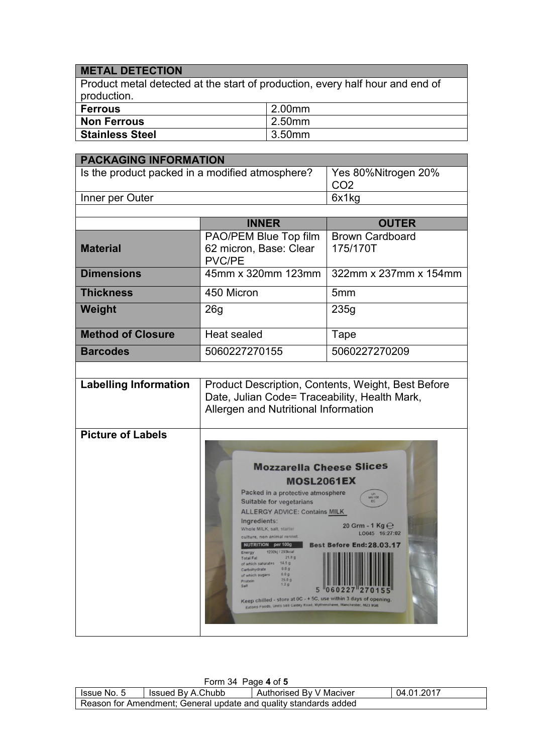## **METAL DETECTION**

Product metal detected at the start of production, every half hour and end of production.

| Ferrous         | 2.00mm |
|-----------------|--------|
| Non Ferrous     | 2.50mm |
| Stainless Steel | 3.50mm |

| <b>PACKAGING INFORMATION</b>                    |                                                                                                                                                                                                                                                                                                                                                                                                                                                                                                                                                                                                               |                                                                                                                                          |  |
|-------------------------------------------------|---------------------------------------------------------------------------------------------------------------------------------------------------------------------------------------------------------------------------------------------------------------------------------------------------------------------------------------------------------------------------------------------------------------------------------------------------------------------------------------------------------------------------------------------------------------------------------------------------------------|------------------------------------------------------------------------------------------------------------------------------------------|--|
| Is the product packed in a modified atmosphere? |                                                                                                                                                                                                                                                                                                                                                                                                                                                                                                                                                                                                               | Yes 80%Nitrogen 20%<br>CO <sub>2</sub>                                                                                                   |  |
| Inner per Outer                                 |                                                                                                                                                                                                                                                                                                                                                                                                                                                                                                                                                                                                               | 6x1kg                                                                                                                                    |  |
|                                                 |                                                                                                                                                                                                                                                                                                                                                                                                                                                                                                                                                                                                               |                                                                                                                                          |  |
|                                                 | <b>INNER</b>                                                                                                                                                                                                                                                                                                                                                                                                                                                                                                                                                                                                  | <b>OUTER</b>                                                                                                                             |  |
| <b>Material</b>                                 | PAO/PEM Blue Top film<br>62 micron, Base: Clear<br><b>PVC/PE</b>                                                                                                                                                                                                                                                                                                                                                                                                                                                                                                                                              | <b>Brown Cardboard</b><br>175/170T                                                                                                       |  |
| <b>Dimensions</b>                               | 45mm x 320mm 123mm                                                                                                                                                                                                                                                                                                                                                                                                                                                                                                                                                                                            | 322mm x 237mm x 154mm                                                                                                                    |  |
| <b>Thickness</b>                                | 450 Micron                                                                                                                                                                                                                                                                                                                                                                                                                                                                                                                                                                                                    | 5 <sub>mm</sub>                                                                                                                          |  |
| Weight                                          | 26g                                                                                                                                                                                                                                                                                                                                                                                                                                                                                                                                                                                                           | 235g                                                                                                                                     |  |
| <b>Method of Closure</b>                        | <b>Heat sealed</b>                                                                                                                                                                                                                                                                                                                                                                                                                                                                                                                                                                                            | Tape                                                                                                                                     |  |
| <b>Barcodes</b>                                 | 5060227270155                                                                                                                                                                                                                                                                                                                                                                                                                                                                                                                                                                                                 | 5060227270209                                                                                                                            |  |
|                                                 |                                                                                                                                                                                                                                                                                                                                                                                                                                                                                                                                                                                                               |                                                                                                                                          |  |
| <b>Labelling Information</b>                    | Product Description, Contents, Weight, Best Before<br>Date, Julian Code= Traceability, Health Mark,<br>Allergen and Nutritional Information                                                                                                                                                                                                                                                                                                                                                                                                                                                                   |                                                                                                                                          |  |
| <b>Picture of Labels</b>                        | <b>Mozzarella Cheese Slices</b><br><b>MOSL2061EX</b><br>Packed in a protective atmosphere<br>Suitable for vegetarians<br><b>ALLERGY ADVICE: Contains MILK</b><br>Ingredients:<br>Whole MILK, salt, starter<br>culture, non animal rennet.<br>NUTRITION per 100g<br>1232kj / 293kcal<br>Energy<br>21.0 g<br><b>Total Fat</b><br>14.5 <sub>q</sub><br>of which saturates<br>0.0 g<br>Carbohydrate<br>0.0 g<br>of which sugars<br>25.0 g<br>Protein<br>1.29<br>Salt<br>Keep chilled - store at 0C - + 5C, use within 3 days of opening.<br>Extons Foods, Units 566 Caldey Road, Wythenshawe, Manchester, M23 9GE | MN 100<br>20 Grm - 1 Kg $\Theta$<br>LO045 16:27:02<br>Best Before End: 28.03.17<br><b>HEI HIS IS IS I HIS I I IS IS SI SI HII</b><br>227 |  |

| Form 34 Page 4 of 5                                              |                   |                         |            |  |  |
|------------------------------------------------------------------|-------------------|-------------------------|------------|--|--|
| <b>Issue No. 5</b>                                               | Issued By A.Chubb | Authorised By V Maciver | 04.01.2017 |  |  |
| Reason for Amendment; General update and quality standards added |                   |                         |            |  |  |